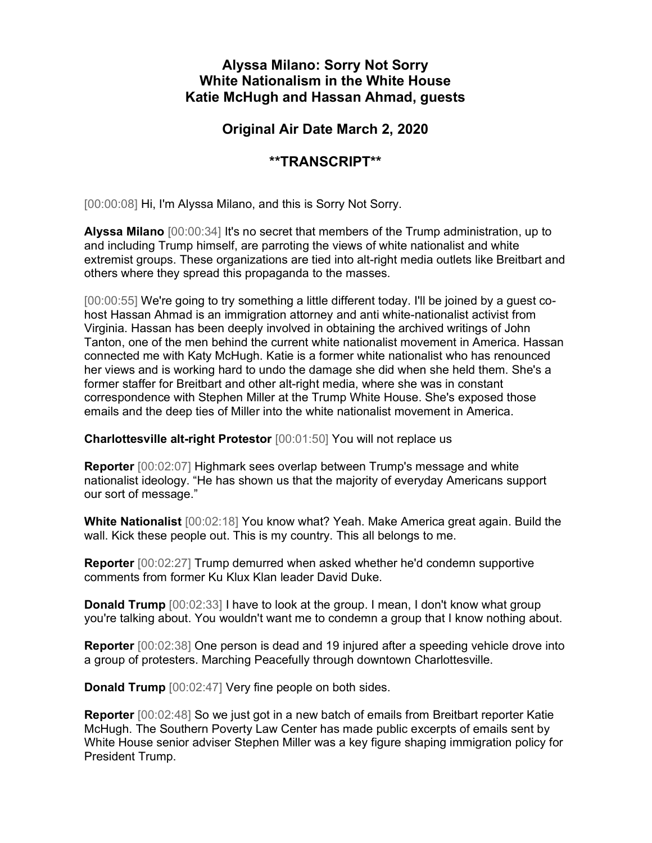## Alyssa Milano: Sorry Not Sorry White Nationalism in the White House Katie McHugh and Hassan Ahmad, guests

## Original Air Date March 2, 2020

## \*\*TRANSCRIPT\*\*

[00:00:08] Hi, I'm Alyssa Milano, and this is Sorry Not Sorry.

Alyssa Milano [00:00:34] It's no secret that members of the Trump administration, up to and including Trump himself, are parroting the views of white nationalist and white extremist groups. These organizations are tied into alt-right media outlets like Breitbart and others where they spread this propaganda to the masses.

[00:00:55] We're going to try something a little different today. I'll be joined by a guest cohost Hassan Ahmad is an immigration attorney and anti white-nationalist activist from Virginia. Hassan has been deeply involved in obtaining the archived writings of John Tanton, one of the men behind the current white nationalist movement in America. Hassan connected me with Katy McHugh. Katie is a former white nationalist who has renounced her views and is working hard to undo the damage she did when she held them. She's a former staffer for Breitbart and other alt-right media, where she was in constant correspondence with Stephen Miller at the Trump White House. She's exposed those emails and the deep ties of Miller into the white nationalist movement in America.

Charlottesville alt-right Protestor [00:01:50] You will not replace us

Reporter [00:02:07] Highmark sees overlap between Trump's message and white nationalist ideology. "He has shown us that the majority of everyday Americans support our sort of message."

White Nationalist [00:02:18] You know what? Yeah. Make America great again. Build the wall. Kick these people out. This is my country. This all belongs to me.

Reporter [00:02:27] Trump demurred when asked whether he'd condemn supportive comments from former Ku Klux Klan leader David Duke.

**Donald Trump** [00:02:33] I have to look at the group. I mean, I don't know what group you're talking about. You wouldn't want me to condemn a group that I know nothing about.

Reporter [00:02:38] One person is dead and 19 injured after a speeding vehicle drove into a group of protesters. Marching Peacefully through downtown Charlottesville.

Donald Trump [00:02:47] Very fine people on both sides.

Reporter [00:02:48] So we just got in a new batch of emails from Breitbart reporter Katie McHugh. The Southern Poverty Law Center has made public excerpts of emails sent by White House senior adviser Stephen Miller was a key figure shaping immigration policy for President Trump.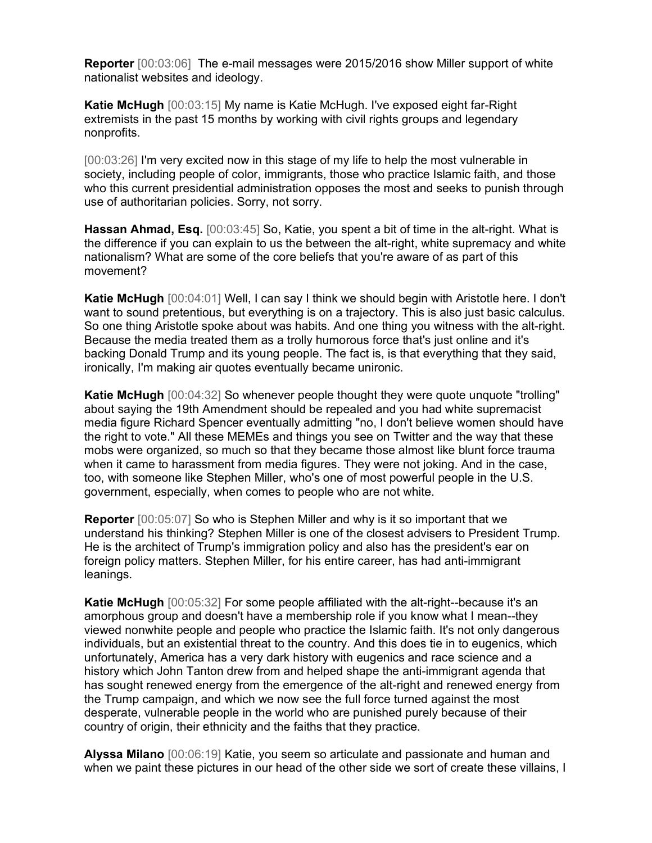Reporter [00:03:06] The e-mail messages were 2015/2016 show Miller support of white nationalist websites and ideology.

Katie McHugh [00:03:15] My name is Katie McHugh. I've exposed eight far-Right extremists in the past 15 months by working with civil rights groups and legendary nonprofits.

[00:03:26] I'm very excited now in this stage of my life to help the most vulnerable in society, including people of color, immigrants, those who practice Islamic faith, and those who this current presidential administration opposes the most and seeks to punish through use of authoritarian policies. Sorry, not sorry.

Hassan Ahmad, Esq. [00:03:45] So, Katie, you spent a bit of time in the alt-right. What is the difference if you can explain to us the between the alt-right, white supremacy and white nationalism? What are some of the core beliefs that you're aware of as part of this movement?

Katie McHugh [00:04:01] Well, I can say I think we should begin with Aristotle here. I don't want to sound pretentious, but everything is on a trajectory. This is also just basic calculus. So one thing Aristotle spoke about was habits. And one thing you witness with the alt-right. Because the media treated them as a trolly humorous force that's just online and it's backing Donald Trump and its young people. The fact is, is that everything that they said, ironically, I'm making air quotes eventually became unironic.

Katie McHugh [00:04:32] So whenever people thought they were quote unquote "trolling" about saying the 19th Amendment should be repealed and you had white supremacist media figure Richard Spencer eventually admitting "no, I don't believe women should have the right to vote." All these MEMEs and things you see on Twitter and the way that these mobs were organized, so much so that they became those almost like blunt force trauma when it came to harassment from media figures. They were not joking. And in the case, too, with someone like Stephen Miller, who's one of most powerful people in the U.S. government, especially, when comes to people who are not white.

Reporter [00:05:07] So who is Stephen Miller and why is it so important that we understand his thinking? Stephen Miller is one of the closest advisers to President Trump. He is the architect of Trump's immigration policy and also has the president's ear on foreign policy matters. Stephen Miller, for his entire career, has had anti-immigrant leanings.

Katie McHugh [00:05:32] For some people affiliated with the alt-right--because it's an amorphous group and doesn't have a membership role if you know what I mean--they viewed nonwhite people and people who practice the Islamic faith. It's not only dangerous individuals, but an existential threat to the country. And this does tie in to eugenics, which unfortunately, America has a very dark history with eugenics and race science and a history which John Tanton drew from and helped shape the anti-immigrant agenda that has sought renewed energy from the emergence of the alt-right and renewed energy from the Trump campaign, and which we now see the full force turned against the most desperate, vulnerable people in the world who are punished purely because of their country of origin, their ethnicity and the faiths that they practice.

Alyssa Milano [00:06:19] Katie, you seem so articulate and passionate and human and when we paint these pictures in our head of the other side we sort of create these villains, I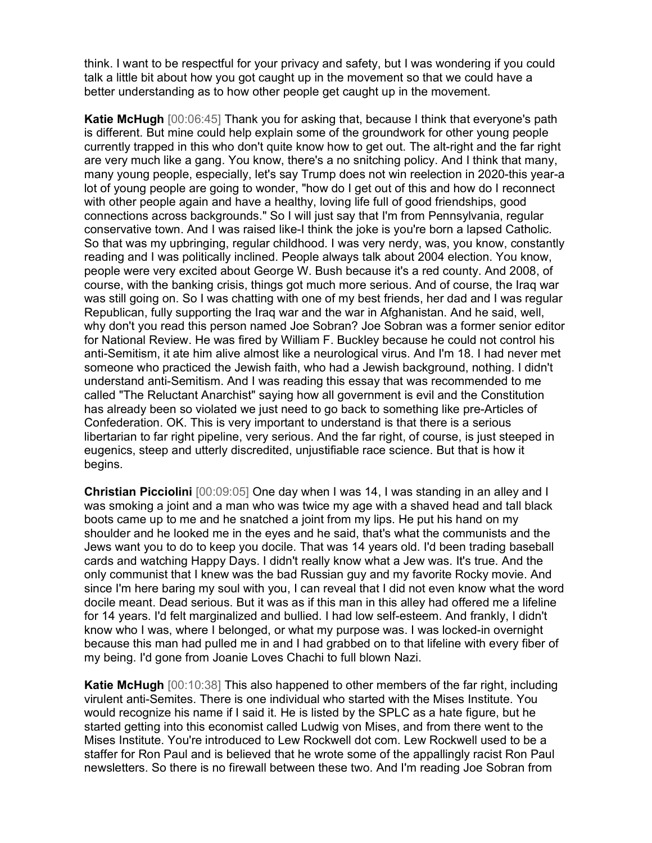think. I want to be respectful for your privacy and safety, but I was wondering if you could talk a little bit about how you got caught up in the movement so that we could have a better understanding as to how other people get caught up in the movement.

Katie McHugh [00:06:45] Thank you for asking that, because I think that everyone's path is different. But mine could help explain some of the groundwork for other young people currently trapped in this who don't quite know how to get out. The alt-right and the far right are very much like a gang. You know, there's a no snitching policy. And I think that many, many young people, especially, let's say Trump does not win reelection in 2020-this year-a lot of young people are going to wonder, "how do I get out of this and how do I reconnect with other people again and have a healthy, loving life full of good friendships, good connections across backgrounds." So I will just say that I'm from Pennsylvania, regular conservative town. And I was raised like-I think the joke is you're born a lapsed Catholic. So that was my upbringing, regular childhood. I was very nerdy, was, you know, constantly reading and I was politically inclined. People always talk about 2004 election. You know, people were very excited about George W. Bush because it's a red county. And 2008, of course, with the banking crisis, things got much more serious. And of course, the Iraq war was still going on. So I was chatting with one of my best friends, her dad and I was regular Republican, fully supporting the Iraq war and the war in Afghanistan. And he said, well, why don't you read this person named Joe Sobran? Joe Sobran was a former senior editor for National Review. He was fired by William F. Buckley because he could not control his anti-Semitism, it ate him alive almost like a neurological virus. And I'm 18. I had never met someone who practiced the Jewish faith, who had a Jewish background, nothing. I didn't understand anti-Semitism. And I was reading this essay that was recommended to me called "The Reluctant Anarchist" saying how all government is evil and the Constitution has already been so violated we just need to go back to something like pre-Articles of Confederation. OK. This is very important to understand is that there is a serious libertarian to far right pipeline, very serious. And the far right, of course, is just steeped in eugenics, steep and utterly discredited, unjustifiable race science. But that is how it begins.

Christian Picciolini [00:09:05] One day when I was 14, I was standing in an alley and I was smoking a joint and a man who was twice my age with a shaved head and tall black boots came up to me and he snatched a joint from my lips. He put his hand on my shoulder and he looked me in the eyes and he said, that's what the communists and the Jews want you to do to keep you docile. That was 14 years old. I'd been trading baseball cards and watching Happy Days. I didn't really know what a Jew was. It's true. And the only communist that I knew was the bad Russian guy and my favorite Rocky movie. And since I'm here baring my soul with you, I can reveal that I did not even know what the word docile meant. Dead serious. But it was as if this man in this alley had offered me a lifeline for 14 years. I'd felt marginalized and bullied. I had low self-esteem. And frankly, I didn't know who I was, where I belonged, or what my purpose was. I was locked-in overnight because this man had pulled me in and I had grabbed on to that lifeline with every fiber of my being. I'd gone from Joanie Loves Chachi to full blown Nazi.

**Katie McHugh** [00:10:38] This also happened to other members of the far right, including virulent anti-Semites. There is one individual who started with the Mises Institute. You would recognize his name if I said it. He is listed by the SPLC as a hate figure, but he started getting into this economist called Ludwig von Mises, and from there went to the Mises Institute. You're introduced to Lew Rockwell dot com. Lew Rockwell used to be a staffer for Ron Paul and is believed that he wrote some of the appallingly racist Ron Paul newsletters. So there is no firewall between these two. And I'm reading Joe Sobran from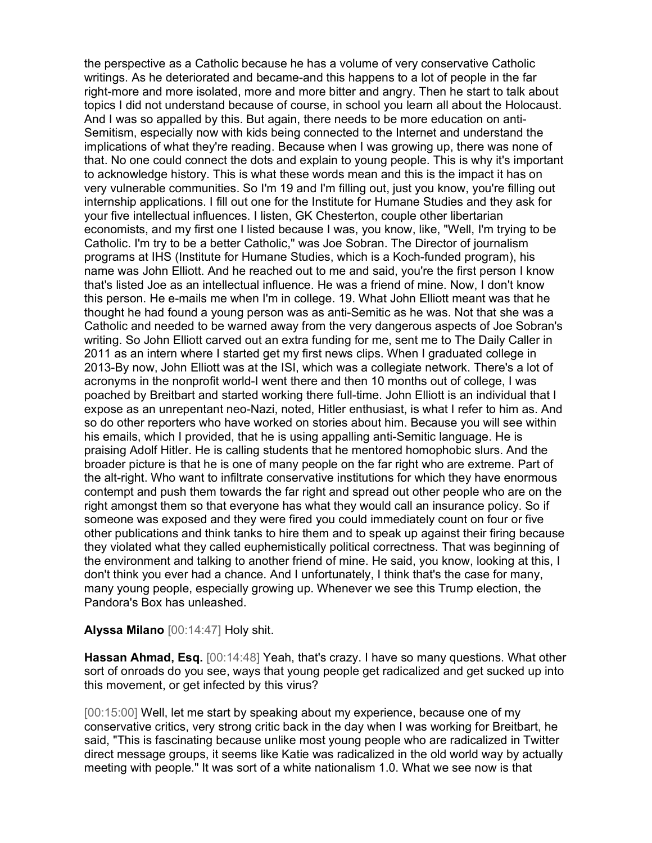the perspective as a Catholic because he has a volume of very conservative Catholic writings. As he deteriorated and became-and this happens to a lot of people in the far right-more and more isolated, more and more bitter and angry. Then he start to talk about topics I did not understand because of course, in school you learn all about the Holocaust. And I was so appalled by this. But again, there needs to be more education on anti-Semitism, especially now with kids being connected to the Internet and understand the implications of what they're reading. Because when I was growing up, there was none of that. No one could connect the dots and explain to young people. This is why it's important to acknowledge history. This is what these words mean and this is the impact it has on very vulnerable communities. So I'm 19 and I'm filling out, just you know, you're filling out internship applications. I fill out one for the Institute for Humane Studies and they ask for your five intellectual influences. I listen, GK Chesterton, couple other libertarian economists, and my first one I listed because I was, you know, like, "Well, I'm trying to be Catholic. I'm try to be a better Catholic," was Joe Sobran. The Director of journalism programs at IHS (Institute for Humane Studies, which is a Koch-funded program), his name was John Elliott. And he reached out to me and said, you're the first person I know that's listed Joe as an intellectual influence. He was a friend of mine. Now, I don't know this person. He e-mails me when I'm in college. 19. What John Elliott meant was that he thought he had found a young person was as anti-Semitic as he was. Not that she was a Catholic and needed to be warned away from the very dangerous aspects of Joe Sobran's writing. So John Elliott carved out an extra funding for me, sent me to The Daily Caller in 2011 as an intern where I started get my first news clips. When I graduated college in 2013-By now, John Elliott was at the ISI, which was a collegiate network. There's a lot of acronyms in the nonprofit world-I went there and then 10 months out of college, I was poached by Breitbart and started working there full-time. John Elliott is an individual that I expose as an unrepentant neo-Nazi, noted, Hitler enthusiast, is what I refer to him as. And so do other reporters who have worked on stories about him. Because you will see within his emails, which I provided, that he is using appalling anti-Semitic language. He is praising Adolf Hitler. He is calling students that he mentored homophobic slurs. And the broader picture is that he is one of many people on the far right who are extreme. Part of the alt-right. Who want to infiltrate conservative institutions for which they have enormous contempt and push them towards the far right and spread out other people who are on the right amongst them so that everyone has what they would call an insurance policy. So if someone was exposed and they were fired you could immediately count on four or five other publications and think tanks to hire them and to speak up against their firing because they violated what they called euphemistically political correctness. That was beginning of the environment and talking to another friend of mine. He said, you know, looking at this, I don't think you ever had a chance. And I unfortunately, I think that's the case for many, many young people, especially growing up. Whenever we see this Trump election, the Pandora's Box has unleashed.

Alyssa Milano [00:14:47] Holy shit.

Hassan Ahmad, Esq. [00:14:48] Yeah, that's crazy. I have so many questions. What other sort of onroads do you see, ways that young people get radicalized and get sucked up into this movement, or get infected by this virus?

[00:15:00] Well, let me start by speaking about my experience, because one of my conservative critics, very strong critic back in the day when I was working for Breitbart, he said, "This is fascinating because unlike most young people who are radicalized in Twitter direct message groups, it seems like Katie was radicalized in the old world way by actually meeting with people." It was sort of a white nationalism 1.0. What we see now is that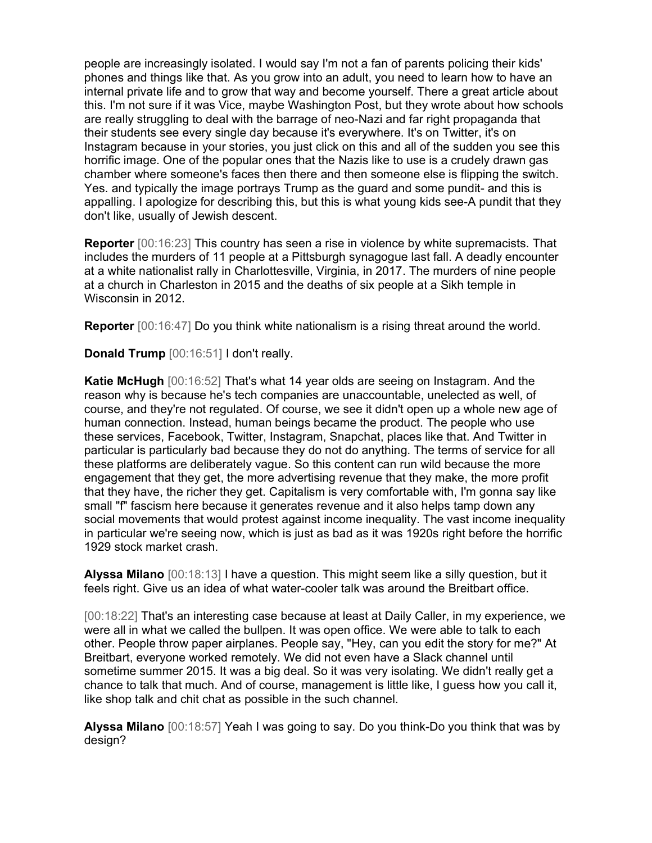people are increasingly isolated. I would say I'm not a fan of parents policing their kids' phones and things like that. As you grow into an adult, you need to learn how to have an internal private life and to grow that way and become yourself. There a great article about this. I'm not sure if it was Vice, maybe Washington Post, but they wrote about how schools are really struggling to deal with the barrage of neo-Nazi and far right propaganda that their students see every single day because it's everywhere. It's on Twitter, it's on Instagram because in your stories, you just click on this and all of the sudden you see this horrific image. One of the popular ones that the Nazis like to use is a crudely drawn gas chamber where someone's faces then there and then someone else is flipping the switch. Yes. and typically the image portrays Trump as the guard and some pundit- and this is appalling. I apologize for describing this, but this is what young kids see-A pundit that they don't like, usually of Jewish descent.

Reporter [00:16:23] This country has seen a rise in violence by white supremacists. That includes the murders of 11 people at a Pittsburgh synagogue last fall. A deadly encounter at a white nationalist rally in Charlottesville, Virginia, in 2017. The murders of nine people at a church in Charleston in 2015 and the deaths of six people at a Sikh temple in Wisconsin in 2012.

**Reporter** [00:16:47] Do you think white nationalism is a rising threat around the world.

Donald Trump [00:16:51] I don't really.

Katie McHugh [00:16:52] That's what 14 year olds are seeing on Instagram. And the reason why is because he's tech companies are unaccountable, unelected as well, of course, and they're not regulated. Of course, we see it didn't open up a whole new age of human connection. Instead, human beings became the product. The people who use these services, Facebook, Twitter, Instagram, Snapchat, places like that. And Twitter in particular is particularly bad because they do not do anything. The terms of service for all these platforms are deliberately vague. So this content can run wild because the more engagement that they get, the more advertising revenue that they make, the more profit that they have, the richer they get. Capitalism is very comfortable with, I'm gonna say like small "f" fascism here because it generates revenue and it also helps tamp down any social movements that would protest against income inequality. The vast income inequality in particular we're seeing now, which is just as bad as it was 1920s right before the horrific 1929 stock market crash.

Alyssa Milano [00:18:13] I have a question. This might seem like a silly question, but it feels right. Give us an idea of what water-cooler talk was around the Breitbart office.

[00:18:22] That's an interesting case because at least at Daily Caller, in my experience, we were all in what we called the bullpen. It was open office. We were able to talk to each other. People throw paper airplanes. People say, "Hey, can you edit the story for me?" At Breitbart, everyone worked remotely. We did not even have a Slack channel until sometime summer 2015. It was a big deal. So it was very isolating. We didn't really get a chance to talk that much. And of course, management is little like, I guess how you call it, like shop talk and chit chat as possible in the such channel.

Alyssa Milano [00:18:57] Yeah I was going to say. Do you think-Do you think that was by design?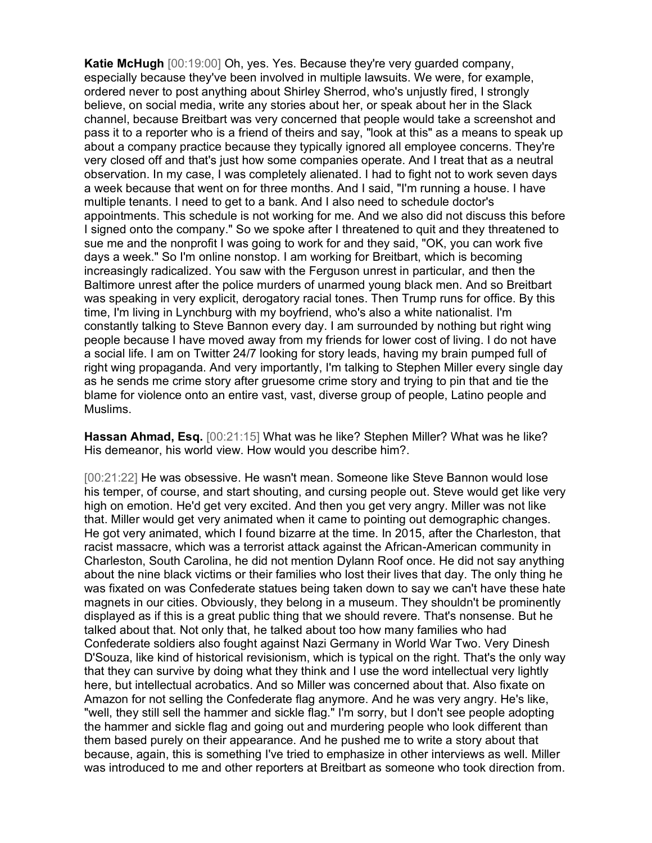Katie McHugh [00:19:00] Oh, yes. Yes. Because they're very guarded company, especially because they've been involved in multiple lawsuits. We were, for example, ordered never to post anything about Shirley Sherrod, who's unjustly fired, I strongly believe, on social media, write any stories about her, or speak about her in the Slack channel, because Breitbart was very concerned that people would take a screenshot and pass it to a reporter who is a friend of theirs and say, "look at this" as a means to speak up about a company practice because they typically ignored all employee concerns. They're very closed off and that's just how some companies operate. And I treat that as a neutral observation. In my case, I was completely alienated. I had to fight not to work seven days a week because that went on for three months. And I said, "I'm running a house. I have multiple tenants. I need to get to a bank. And I also need to schedule doctor's appointments. This schedule is not working for me. And we also did not discuss this before I signed onto the company." So we spoke after I threatened to quit and they threatened to sue me and the nonprofit I was going to work for and they said, "OK, you can work five days a week." So I'm online nonstop. I am working for Breitbart, which is becoming increasingly radicalized. You saw with the Ferguson unrest in particular, and then the Baltimore unrest after the police murders of unarmed young black men. And so Breitbart was speaking in very explicit, derogatory racial tones. Then Trump runs for office. By this time, I'm living in Lynchburg with my boyfriend, who's also a white nationalist. I'm constantly talking to Steve Bannon every day. I am surrounded by nothing but right wing people because I have moved away from my friends for lower cost of living. I do not have a social life. I am on Twitter 24/7 looking for story leads, having my brain pumped full of right wing propaganda. And very importantly, I'm talking to Stephen Miller every single day as he sends me crime story after gruesome crime story and trying to pin that and tie the blame for violence onto an entire vast, vast, diverse group of people, Latino people and Muslims.

Hassan Ahmad, Esq. [00:21:15] What was he like? Stephen Miller? What was he like? His demeanor, his world view. How would you describe him?.

[00:21:22] He was obsessive. He wasn't mean. Someone like Steve Bannon would lose his temper, of course, and start shouting, and cursing people out. Steve would get like very high on emotion. He'd get very excited. And then you get very angry. Miller was not like that. Miller would get very animated when it came to pointing out demographic changes. He got very animated, which I found bizarre at the time. In 2015, after the Charleston, that racist massacre, which was a terrorist attack against the African-American community in Charleston, South Carolina, he did not mention Dylann Roof once. He did not say anything about the nine black victims or their families who lost their lives that day. The only thing he was fixated on was Confederate statues being taken down to say we can't have these hate magnets in our cities. Obviously, they belong in a museum. They shouldn't be prominently displayed as if this is a great public thing that we should revere. That's nonsense. But he talked about that. Not only that, he talked about too how many families who had Confederate soldiers also fought against Nazi Germany in World War Two. Very Dinesh D'Souza, like kind of historical revisionism, which is typical on the right. That's the only way that they can survive by doing what they think and I use the word intellectual very lightly here, but intellectual acrobatics. And so Miller was concerned about that. Also fixate on Amazon for not selling the Confederate flag anymore. And he was very angry. He's like, "well, they still sell the hammer and sickle flag." I'm sorry, but I don't see people adopting the hammer and sickle flag and going out and murdering people who look different than them based purely on their appearance. And he pushed me to write a story about that because, again, this is something I've tried to emphasize in other interviews as well. Miller was introduced to me and other reporters at Breitbart as someone who took direction from.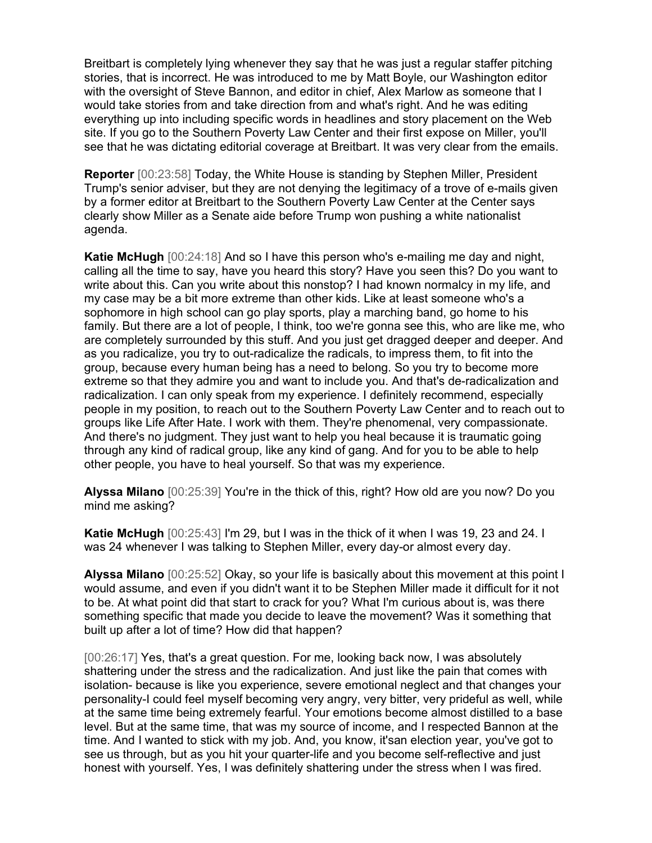Breitbart is completely lying whenever they say that he was just a regular staffer pitching stories, that is incorrect. He was introduced to me by Matt Boyle, our Washington editor with the oversight of Steve Bannon, and editor in chief, Alex Marlow as someone that I would take stories from and take direction from and what's right. And he was editing everything up into including specific words in headlines and story placement on the Web site. If you go to the Southern Poverty Law Center and their first expose on Miller, you'll see that he was dictating editorial coverage at Breitbart. It was very clear from the emails.

Reporter [00:23:58] Today, the White House is standing by Stephen Miller, President Trump's senior adviser, but they are not denying the legitimacy of a trove of e-mails given by a former editor at Breitbart to the Southern Poverty Law Center at the Center says clearly show Miller as a Senate aide before Trump won pushing a white nationalist agenda.

Katie McHugh [00:24:18] And so I have this person who's e-mailing me day and night, calling all the time to say, have you heard this story? Have you seen this? Do you want to write about this. Can you write about this nonstop? I had known normalcy in my life, and my case may be a bit more extreme than other kids. Like at least someone who's a sophomore in high school can go play sports, play a marching band, go home to his family. But there are a lot of people, I think, too we're gonna see this, who are like me, who are completely surrounded by this stuff. And you just get dragged deeper and deeper. And as you radicalize, you try to out-radicalize the radicals, to impress them, to fit into the group, because every human being has a need to belong. So you try to become more extreme so that they admire you and want to include you. And that's de-radicalization and radicalization. I can only speak from my experience. I definitely recommend, especially people in my position, to reach out to the Southern Poverty Law Center and to reach out to groups like Life After Hate. I work with them. They're phenomenal, very compassionate. And there's no judgment. They just want to help you heal because it is traumatic going through any kind of radical group, like any kind of gang. And for you to be able to help other people, you have to heal yourself. So that was my experience.

Alyssa Milano [00:25:39] You're in the thick of this, right? How old are you now? Do you mind me asking?

Katie McHugh [00:25:43] I'm 29, but I was in the thick of it when I was 19, 23 and 24. I was 24 whenever I was talking to Stephen Miller, every day-or almost every day.

Alyssa Milano [00:25:52] Okay, so your life is basically about this movement at this point I would assume, and even if you didn't want it to be Stephen Miller made it difficult for it not to be. At what point did that start to crack for you? What I'm curious about is, was there something specific that made you decide to leave the movement? Was it something that built up after a lot of time? How did that happen?

[00:26:17] Yes, that's a great question. For me, looking back now, I was absolutely shattering under the stress and the radicalization. And just like the pain that comes with isolation- because is like you experience, severe emotional neglect and that changes your personality-I could feel myself becoming very angry, very bitter, very prideful as well, while at the same time being extremely fearful. Your emotions become almost distilled to a base level. But at the same time, that was my source of income, and I respected Bannon at the time. And I wanted to stick with my job. And, you know, it'san election year, you've got to see us through, but as you hit your quarter-life and you become self-reflective and just honest with yourself. Yes, I was definitely shattering under the stress when I was fired.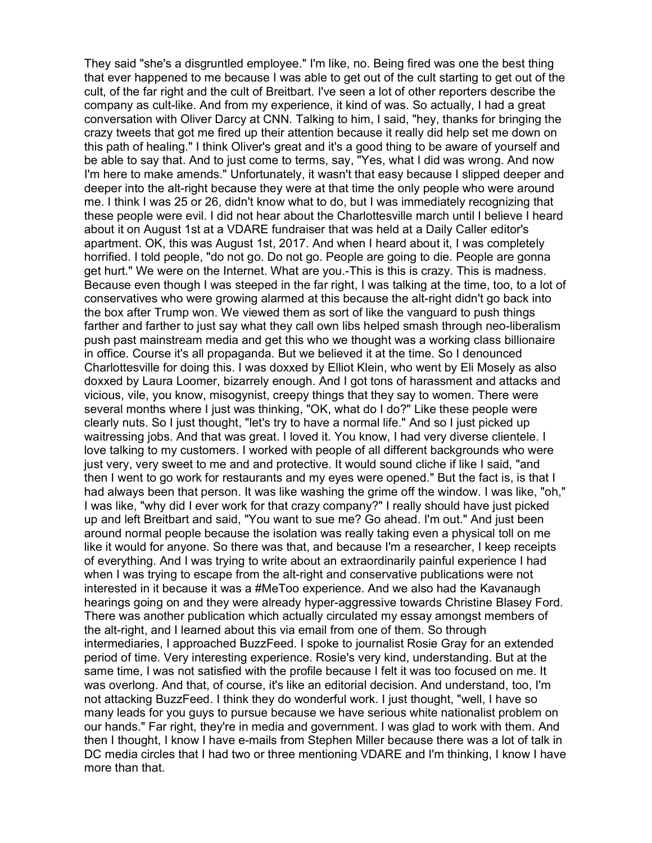They said "she's a disgruntled employee." I'm like, no. Being fired was one the best thing that ever happened to me because I was able to get out of the cult starting to get out of the cult, of the far right and the cult of Breitbart. I've seen a lot of other reporters describe the company as cult-like. And from my experience, it kind of was. So actually, I had a great conversation with Oliver Darcy at CNN. Talking to him, I said, "hey, thanks for bringing the crazy tweets that got me fired up their attention because it really did help set me down on this path of healing." I think Oliver's great and it's a good thing to be aware of yourself and be able to say that. And to just come to terms, say, "Yes, what I did was wrong. And now I'm here to make amends." Unfortunately, it wasn't that easy because I slipped deeper and deeper into the alt-right because they were at that time the only people who were around me. I think I was 25 or 26, didn't know what to do, but I was immediately recognizing that these people were evil. I did not hear about the Charlottesville march until I believe I heard about it on August 1st at a VDARE fundraiser that was held at a Daily Caller editor's apartment. OK, this was August 1st, 2017. And when I heard about it, I was completely horrified. I told people, "do not go. Do not go. People are going to die. People are gonna get hurt." We were on the Internet. What are you.-This is this is crazy. This is madness. Because even though I was steeped in the far right, I was talking at the time, too, to a lot of conservatives who were growing alarmed at this because the alt-right didn't go back into the box after Trump won. We viewed them as sort of like the vanguard to push things farther and farther to just say what they call own libs helped smash through neo-liberalism push past mainstream media and get this who we thought was a working class billionaire in office. Course it's all propaganda. But we believed it at the time. So I denounced Charlottesville for doing this. I was doxxed by Elliot Klein, who went by Eli Mosely as also doxxed by Laura Loomer, bizarrely enough. And I got tons of harassment and attacks and vicious, vile, you know, misogynist, creepy things that they say to women. There were several months where I just was thinking, "OK, what do I do?" Like these people were clearly nuts. So I just thought, "let's try to have a normal life." And so I just picked up waitressing jobs. And that was great. I loved it. You know, I had very diverse clientele. I love talking to my customers. I worked with people of all different backgrounds who were just very, very sweet to me and and protective. It would sound cliche if like I said, "and then I went to go work for restaurants and my eyes were opened." But the fact is, is that I had always been that person. It was like washing the grime off the window. I was like, "oh," I was like, "why did I ever work for that crazy company?" I really should have just picked up and left Breitbart and said, "You want to sue me? Go ahead. I'm out." And just been around normal people because the isolation was really taking even a physical toll on me like it would for anyone. So there was that, and because I'm a researcher, I keep receipts of everything. And I was trying to write about an extraordinarily painful experience I had when I was trying to escape from the alt-right and conservative publications were not interested in it because it was a #MeToo experience. And we also had the Kavanaugh hearings going on and they were already hyper-aggressive towards Christine Blasey Ford. There was another publication which actually circulated my essay amongst members of the alt-right, and I learned about this via email from one of them. So through intermediaries, I approached BuzzFeed. I spoke to journalist Rosie Gray for an extended period of time. Very interesting experience. Rosie's very kind, understanding. But at the same time, I was not satisfied with the profile because I felt it was too focused on me. It was overlong. And that, of course, it's like an editorial decision. And understand, too, I'm not attacking BuzzFeed. I think they do wonderful work. I just thought, "well, I have so many leads for you guys to pursue because we have serious white nationalist problem on our hands." Far right, they're in media and government. I was glad to work with them. And then I thought, I know I have e-mails from Stephen Miller because there was a lot of talk in DC media circles that I had two or three mentioning VDARE and I'm thinking, I know I have more than that.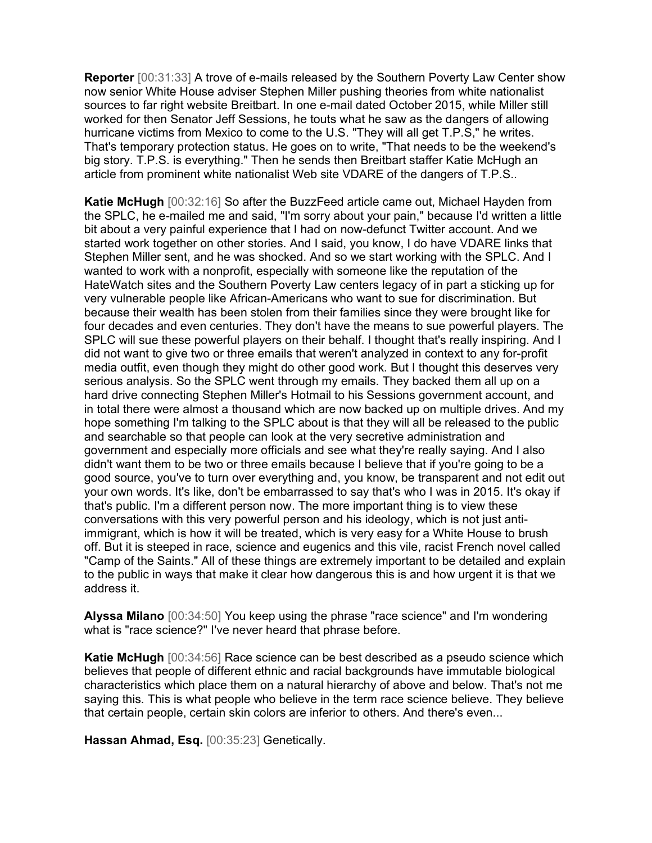Reporter [00:31:33] A trove of e-mails released by the Southern Poverty Law Center show now senior White House adviser Stephen Miller pushing theories from white nationalist sources to far right website Breitbart. In one e-mail dated October 2015, while Miller still worked for then Senator Jeff Sessions, he touts what he saw as the dangers of allowing hurricane victims from Mexico to come to the U.S. "They will all get T.P.S," he writes. That's temporary protection status. He goes on to write, "That needs to be the weekend's big story. T.P.S. is everything." Then he sends then Breitbart staffer Katie McHugh an article from prominent white nationalist Web site VDARE of the dangers of T.P.S..

Katie McHugh [00:32:16] So after the BuzzFeed article came out, Michael Hayden from the SPLC, he e-mailed me and said, "I'm sorry about your pain," because I'd written a little bit about a very painful experience that I had on now-defunct Twitter account. And we started work together on other stories. And I said, you know, I do have VDARE links that Stephen Miller sent, and he was shocked. And so we start working with the SPLC. And I wanted to work with a nonprofit, especially with someone like the reputation of the HateWatch sites and the Southern Poverty Law centers legacy of in part a sticking up for very vulnerable people like African-Americans who want to sue for discrimination. But because their wealth has been stolen from their families since they were brought like for four decades and even centuries. They don't have the means to sue powerful players. The SPLC will sue these powerful players on their behalf. I thought that's really inspiring. And I did not want to give two or three emails that weren't analyzed in context to any for-profit media outfit, even though they might do other good work. But I thought this deserves very serious analysis. So the SPLC went through my emails. They backed them all up on a hard drive connecting Stephen Miller's Hotmail to his Sessions government account, and in total there were almost a thousand which are now backed up on multiple drives. And my hope something I'm talking to the SPLC about is that they will all be released to the public and searchable so that people can look at the very secretive administration and government and especially more officials and see what they're really saying. And I also didn't want them to be two or three emails because I believe that if you're going to be a good source, you've to turn over everything and, you know, be transparent and not edit out your own words. It's like, don't be embarrassed to say that's who I was in 2015. It's okay if that's public. I'm a different person now. The more important thing is to view these conversations with this very powerful person and his ideology, which is not just antiimmigrant, which is how it will be treated, which is very easy for a White House to brush off. But it is steeped in race, science and eugenics and this vile, racist French novel called "Camp of the Saints." All of these things are extremely important to be detailed and explain to the public in ways that make it clear how dangerous this is and how urgent it is that we address it.

Alyssa Milano [00:34:50] You keep using the phrase "race science" and I'm wondering what is "race science?" I've never heard that phrase before.

Katie McHugh [00:34:56] Race science can be best described as a pseudo science which believes that people of different ethnic and racial backgrounds have immutable biological characteristics which place them on a natural hierarchy of above and below. That's not me saying this. This is what people who believe in the term race science believe. They believe that certain people, certain skin colors are inferior to others. And there's even...

Hassan Ahmad, Esq. [00:35:23] Genetically.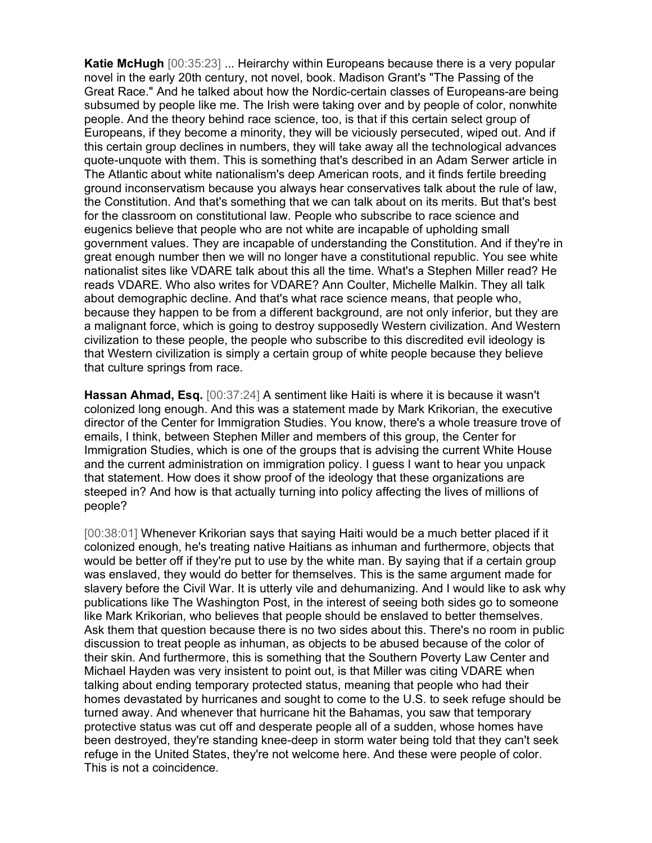Katie McHugh [00:35:23] ... Heirarchy within Europeans because there is a very popular novel in the early 20th century, not novel, book. Madison Grant's "The Passing of the Great Race." And he talked about how the Nordic-certain classes of Europeans-are being subsumed by people like me. The Irish were taking over and by people of color, nonwhite people. And the theory behind race science, too, is that if this certain select group of Europeans, if they become a minority, they will be viciously persecuted, wiped out. And if this certain group declines in numbers, they will take away all the technological advances quote-unquote with them. This is something that's described in an Adam Serwer article in The Atlantic about white nationalism's deep American roots, and it finds fertile breeding ground inconservatism because you always hear conservatives talk about the rule of law, the Constitution. And that's something that we can talk about on its merits. But that's best for the classroom on constitutional law. People who subscribe to race science and eugenics believe that people who are not white are incapable of upholding small government values. They are incapable of understanding the Constitution. And if they're in great enough number then we will no longer have a constitutional republic. You see white nationalist sites like VDARE talk about this all the time. What's a Stephen Miller read? He reads VDARE. Who also writes for VDARE? Ann Coulter, Michelle Malkin. They all talk about demographic decline. And that's what race science means, that people who, because they happen to be from a different background, are not only inferior, but they are a malignant force, which is going to destroy supposedly Western civilization. And Western civilization to these people, the people who subscribe to this discredited evil ideology is that Western civilization is simply a certain group of white people because they believe that culture springs from race.

Hassan Ahmad, Esq. [00:37:24] A sentiment like Haiti is where it is because it wasn't colonized long enough. And this was a statement made by Mark Krikorian, the executive director of the Center for Immigration Studies. You know, there's a whole treasure trove of emails, I think, between Stephen Miller and members of this group, the Center for Immigration Studies, which is one of the groups that is advising the current White House and the current administration on immigration policy. I guess I want to hear you unpack that statement. How does it show proof of the ideology that these organizations are steeped in? And how is that actually turning into policy affecting the lives of millions of people?

[00:38:01] Whenever Krikorian says that saying Haiti would be a much better placed if it colonized enough, he's treating native Haitians as inhuman and furthermore, objects that would be better off if they're put to use by the white man. By saying that if a certain group was enslaved, they would do better for themselves. This is the same argument made for slavery before the Civil War. It is utterly vile and dehumanizing. And I would like to ask why publications like The Washington Post, in the interest of seeing both sides go to someone like Mark Krikorian, who believes that people should be enslaved to better themselves. Ask them that question because there is no two sides about this. There's no room in public discussion to treat people as inhuman, as objects to be abused because of the color of their skin. And furthermore, this is something that the Southern Poverty Law Center and Michael Hayden was very insistent to point out, is that Miller was citing VDARE when talking about ending temporary protected status, meaning that people who had their homes devastated by hurricanes and sought to come to the U.S. to seek refuge should be turned away. And whenever that hurricane hit the Bahamas, you saw that temporary protective status was cut off and desperate people all of a sudden, whose homes have been destroyed, they're standing knee-deep in storm water being told that they can't seek refuge in the United States, they're not welcome here. And these were people of color. This is not a coincidence.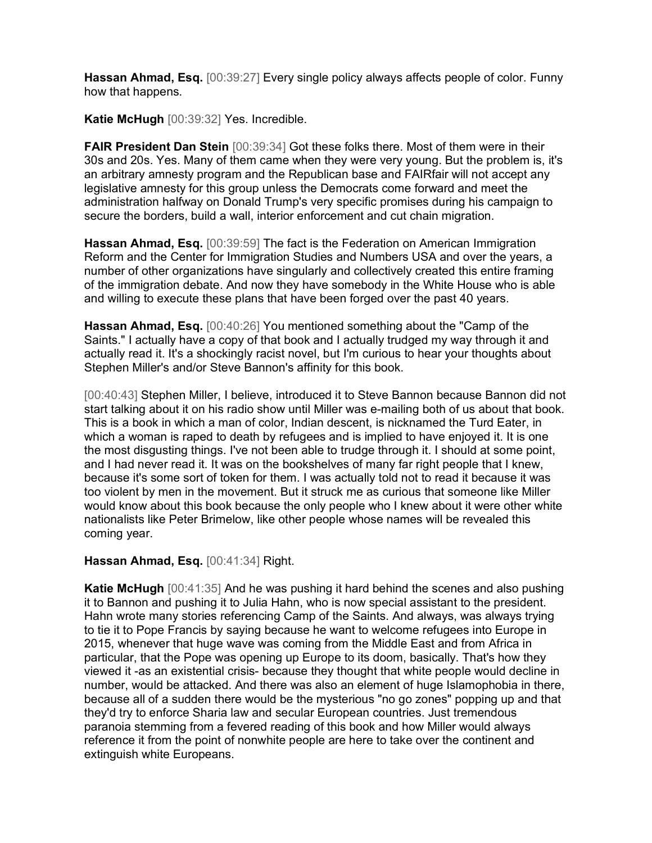Hassan Ahmad, Esq. [00:39:27] Every single policy always affects people of color. Funny how that happens.

Katie McHugh [00:39:32] Yes. Incredible.

FAIR President Dan Stein [00:39:34] Got these folks there. Most of them were in their 30s and 20s. Yes. Many of them came when they were very young. But the problem is, it's an arbitrary amnesty program and the Republican base and FAIRfair will not accept any legislative amnesty for this group unless the Democrats come forward and meet the administration halfway on Donald Trump's very specific promises during his campaign to secure the borders, build a wall, interior enforcement and cut chain migration.

Hassan Ahmad, Esq. [00:39:59] The fact is the Federation on American Immigration Reform and the Center for Immigration Studies and Numbers USA and over the years, a number of other organizations have singularly and collectively created this entire framing of the immigration debate. And now they have somebody in the White House who is able and willing to execute these plans that have been forged over the past 40 years.

Hassan Ahmad, Esq. [00:40:26] You mentioned something about the "Camp of the Saints." I actually have a copy of that book and I actually trudged my way through it and actually read it. It's a shockingly racist novel, but I'm curious to hear your thoughts about Stephen Miller's and/or Steve Bannon's affinity for this book.

[00:40:43] Stephen Miller, I believe, introduced it to Steve Bannon because Bannon did not start talking about it on his radio show until Miller was e-mailing both of us about that book. This is a book in which a man of color, Indian descent, is nicknamed the Turd Eater, in which a woman is raped to death by refugees and is implied to have enjoyed it. It is one the most disgusting things. I've not been able to trudge through it. I should at some point, and I had never read it. It was on the bookshelves of many far right people that I knew, because it's some sort of token for them. I was actually told not to read it because it was too violent by men in the movement. But it struck me as curious that someone like Miller would know about this book because the only people who I knew about it were other white nationalists like Peter Brimelow, like other people whose names will be revealed this coming year.

## Hassan Ahmad, Esq. [00:41:34] Right.

Katie McHugh [00:41:35] And he was pushing it hard behind the scenes and also pushing it to Bannon and pushing it to Julia Hahn, who is now special assistant to the president. Hahn wrote many stories referencing Camp of the Saints. And always, was always trying to tie it to Pope Francis by saying because he want to welcome refugees into Europe in 2015, whenever that huge wave was coming from the Middle East and from Africa in particular, that the Pope was opening up Europe to its doom, basically. That's how they viewed it -as an existential crisis- because they thought that white people would decline in number, would be attacked. And there was also an element of huge Islamophobia in there, because all of a sudden there would be the mysterious "no go zones" popping up and that they'd try to enforce Sharia law and secular European countries. Just tremendous paranoia stemming from a fevered reading of this book and how Miller would always reference it from the point of nonwhite people are here to take over the continent and extinguish white Europeans.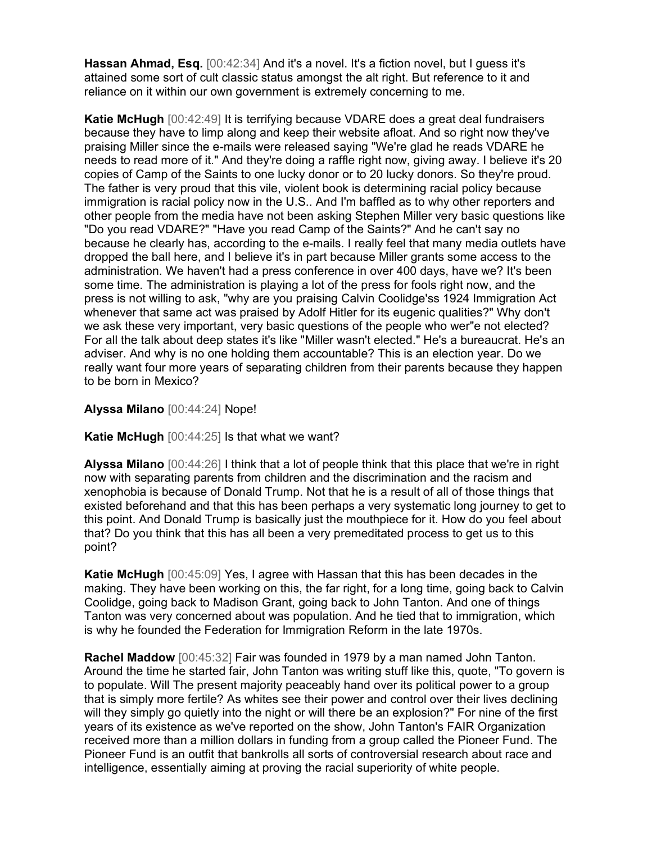Hassan Ahmad, Esq. [00:42:34] And it's a novel. It's a fiction novel, but I guess it's attained some sort of cult classic status amongst the alt right. But reference to it and reliance on it within our own government is extremely concerning to me.

Katie McHugh [00:42:49] It is terrifying because VDARE does a great deal fundraisers because they have to limp along and keep their website afloat. And so right now they've praising Miller since the e-mails were released saying "We're glad he reads VDARE he needs to read more of it." And they're doing a raffle right now, giving away. I believe it's 20 copies of Camp of the Saints to one lucky donor or to 20 lucky donors. So they're proud. The father is very proud that this vile, violent book is determining racial policy because immigration is racial policy now in the U.S.. And I'm baffled as to why other reporters and other people from the media have not been asking Stephen Miller very basic questions like "Do you read VDARE?" "Have you read Camp of the Saints?" And he can't say no because he clearly has, according to the e-mails. I really feel that many media outlets have dropped the ball here, and I believe it's in part because Miller grants some access to the administration. We haven't had a press conference in over 400 days, have we? It's been some time. The administration is playing a lot of the press for fools right now, and the press is not willing to ask, "why are you praising Calvin Coolidge'ss 1924 Immigration Act whenever that same act was praised by Adolf Hitler for its eugenic qualities?" Why don't we ask these very important, very basic questions of the people who wer"e not elected? For all the talk about deep states it's like "Miller wasn't elected." He's a bureaucrat. He's an adviser. And why is no one holding them accountable? This is an election year. Do we really want four more years of separating children from their parents because they happen to be born in Mexico?

Alyssa Milano [00:44:24] Nope!

Katie McHugh [00:44:25] Is that what we want?

Alyssa Milano [00:44:26] I think that a lot of people think that this place that we're in right now with separating parents from children and the discrimination and the racism and xenophobia is because of Donald Trump. Not that he is a result of all of those things that existed beforehand and that this has been perhaps a very systematic long journey to get to this point. And Donald Trump is basically just the mouthpiece for it. How do you feel about that? Do you think that this has all been a very premeditated process to get us to this point?

Katie McHugh [00:45:09] Yes, I agree with Hassan that this has been decades in the making. They have been working on this, the far right, for a long time, going back to Calvin Coolidge, going back to Madison Grant, going back to John Tanton. And one of things Tanton was very concerned about was population. And he tied that to immigration, which is why he founded the Federation for Immigration Reform in the late 1970s.

Rachel Maddow [00:45:32] Fair was founded in 1979 by a man named John Tanton. Around the time he started fair, John Tanton was writing stuff like this, quote, "To govern is to populate. Will The present majority peaceably hand over its political power to a group that is simply more fertile? As whites see their power and control over their lives declining will they simply go quietly into the night or will there be an explosion?" For nine of the first years of its existence as we've reported on the show, John Tanton's FAIR Organization received more than a million dollars in funding from a group called the Pioneer Fund. The Pioneer Fund is an outfit that bankrolls all sorts of controversial research about race and intelligence, essentially aiming at proving the racial superiority of white people.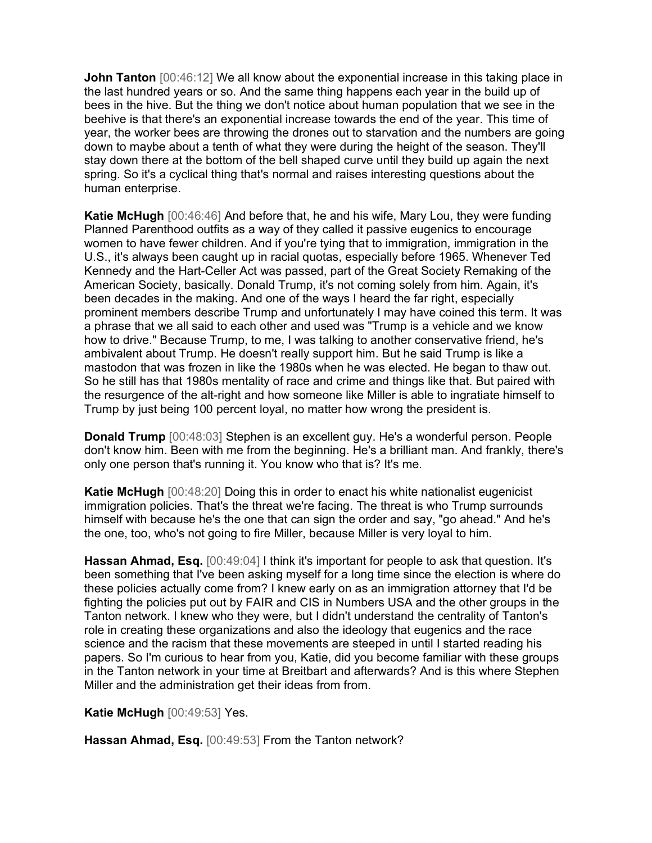**John Tanton** [00:46:12] We all know about the exponential increase in this taking place in the last hundred years or so. And the same thing happens each year in the build up of bees in the hive. But the thing we don't notice about human population that we see in the beehive is that there's an exponential increase towards the end of the year. This time of year, the worker bees are throwing the drones out to starvation and the numbers are going down to maybe about a tenth of what they were during the height of the season. They'll stay down there at the bottom of the bell shaped curve until they build up again the next spring. So it's a cyclical thing that's normal and raises interesting questions about the human enterprise.

Katie McHugh [00:46:46] And before that, he and his wife, Mary Lou, they were funding Planned Parenthood outfits as a way of they called it passive eugenics to encourage women to have fewer children. And if you're tying that to immigration, immigration in the U.S., it's always been caught up in racial quotas, especially before 1965. Whenever Ted Kennedy and the Hart-Celler Act was passed, part of the Great Society Remaking of the American Society, basically. Donald Trump, it's not coming solely from him. Again, it's been decades in the making. And one of the ways I heard the far right, especially prominent members describe Trump and unfortunately I may have coined this term. It was a phrase that we all said to each other and used was "Trump is a vehicle and we know how to drive." Because Trump, to me, I was talking to another conservative friend, he's ambivalent about Trump. He doesn't really support him. But he said Trump is like a mastodon that was frozen in like the 1980s when he was elected. He began to thaw out. So he still has that 1980s mentality of race and crime and things like that. But paired with the resurgence of the alt-right and how someone like Miller is able to ingratiate himself to Trump by just being 100 percent loyal, no matter how wrong the president is.

Donald Trump [00:48:03] Stephen is an excellent guy. He's a wonderful person. People don't know him. Been with me from the beginning. He's a brilliant man. And frankly, there's only one person that's running it. You know who that is? It's me.

Katie McHugh [00:48:20] Doing this in order to enact his white nationalist eugenicist immigration policies. That's the threat we're facing. The threat is who Trump surrounds himself with because he's the one that can sign the order and say, "go ahead." And he's the one, too, who's not going to fire Miller, because Miller is very loyal to him.

Hassan Ahmad, Esq. [00:49:04] I think it's important for people to ask that question. It's been something that I've been asking myself for a long time since the election is where do these policies actually come from? I knew early on as an immigration attorney that I'd be fighting the policies put out by FAIR and CIS in Numbers USA and the other groups in the Tanton network. I knew who they were, but I didn't understand the centrality of Tanton's role in creating these organizations and also the ideology that eugenics and the race science and the racism that these movements are steeped in until I started reading his papers. So I'm curious to hear from you, Katie, did you become familiar with these groups in the Tanton network in your time at Breitbart and afterwards? And is this where Stephen Miller and the administration get their ideas from from.

Katie McHugh [00:49:53] Yes.

Hassan Ahmad, Esq. [00:49:53] From the Tanton network?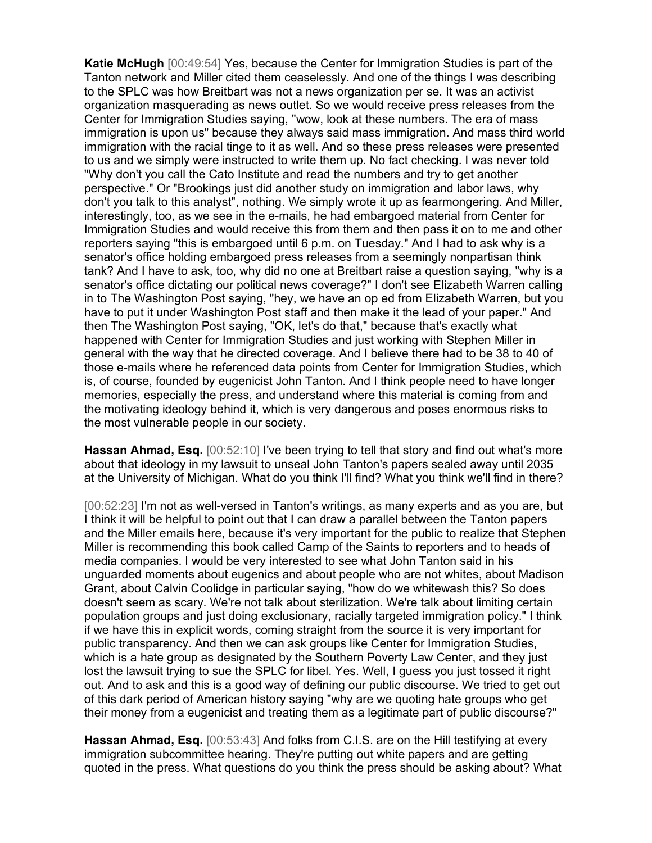Katie McHugh [00:49:54] Yes, because the Center for Immigration Studies is part of the Tanton network and Miller cited them ceaselessly. And one of the things I was describing to the SPLC was how Breitbart was not a news organization per se. It was an activist organization masquerading as news outlet. So we would receive press releases from the Center for Immigration Studies saying, "wow, look at these numbers. The era of mass immigration is upon us" because they always said mass immigration. And mass third world immigration with the racial tinge to it as well. And so these press releases were presented to us and we simply were instructed to write them up. No fact checking. I was never told "Why don't you call the Cato Institute and read the numbers and try to get another perspective." Or "Brookings just did another study on immigration and labor laws, why don't you talk to this analyst", nothing. We simply wrote it up as fearmongering. And Miller, interestingly, too, as we see in the e-mails, he had embargoed material from Center for Immigration Studies and would receive this from them and then pass it on to me and other reporters saying "this is embargoed until 6 p.m. on Tuesday." And I had to ask why is a senator's office holding embargoed press releases from a seemingly nonpartisan think tank? And I have to ask, too, why did no one at Breitbart raise a question saying, "why is a senator's office dictating our political news coverage?" I don't see Elizabeth Warren calling in to The Washington Post saying, "hey, we have an op ed from Elizabeth Warren, but you have to put it under Washington Post staff and then make it the lead of your paper." And then The Washington Post saying, "OK, let's do that," because that's exactly what happened with Center for Immigration Studies and just working with Stephen Miller in general with the way that he directed coverage. And I believe there had to be 38 to 40 of those e-mails where he referenced data points from Center for Immigration Studies, which is, of course, founded by eugenicist John Tanton. And I think people need to have longer memories, especially the press, and understand where this material is coming from and the motivating ideology behind it, which is very dangerous and poses enormous risks to the most vulnerable people in our society.

Hassan Ahmad, Esq. [00:52:10] I've been trying to tell that story and find out what's more about that ideology in my lawsuit to unseal John Tanton's papers sealed away until 2035 at the University of Michigan. What do you think I'll find? What you think we'll find in there?

[00:52:23] I'm not as well-versed in Tanton's writings, as many experts and as you are, but I think it will be helpful to point out that I can draw a parallel between the Tanton papers and the Miller emails here, because it's very important for the public to realize that Stephen Miller is recommending this book called Camp of the Saints to reporters and to heads of media companies. I would be very interested to see what John Tanton said in his unguarded moments about eugenics and about people who are not whites, about Madison Grant, about Calvin Coolidge in particular saying, "how do we whitewash this? So does doesn't seem as scary. We're not talk about sterilization. We're talk about limiting certain population groups and just doing exclusionary, racially targeted immigration policy." I think if we have this in explicit words, coming straight from the source it is very important for public transparency. And then we can ask groups like Center for Immigration Studies, which is a hate group as designated by the Southern Poverty Law Center, and they just lost the lawsuit trying to sue the SPLC for libel. Yes. Well, I guess you just tossed it right out. And to ask and this is a good way of defining our public discourse. We tried to get out of this dark period of American history saying "why are we quoting hate groups who get their money from a eugenicist and treating them as a legitimate part of public discourse?"

Hassan Ahmad, Esq. [00:53:43] And folks from C.I.S. are on the Hill testifying at every immigration subcommittee hearing. They're putting out white papers and are getting quoted in the press. What questions do you think the press should be asking about? What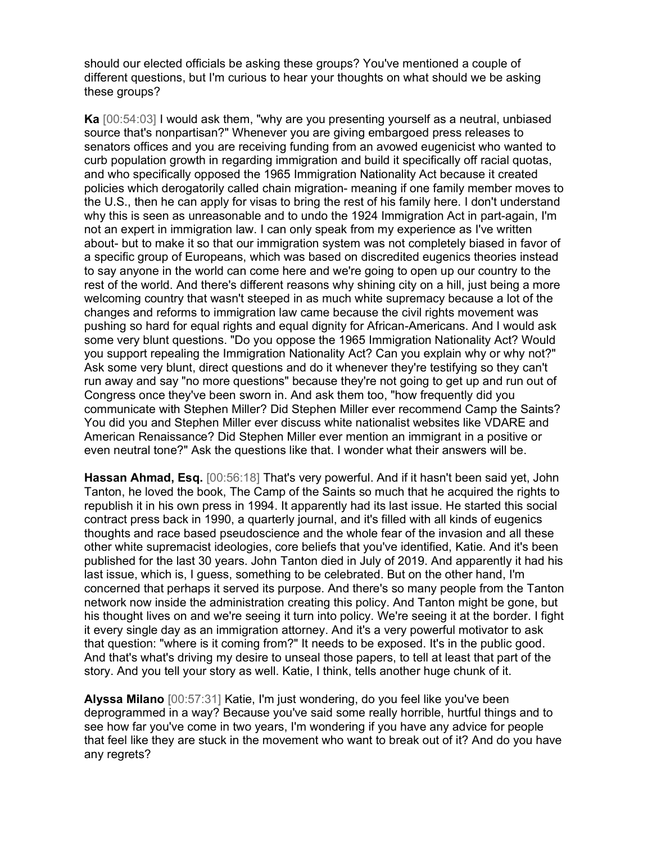should our elected officials be asking these groups? You've mentioned a couple of different questions, but I'm curious to hear your thoughts on what should we be asking these groups?

Ka [00:54:03] I would ask them, "why are you presenting yourself as a neutral, unbiased source that's nonpartisan?" Whenever you are giving embargoed press releases to senators offices and you are receiving funding from an avowed eugenicist who wanted to curb population growth in regarding immigration and build it specifically off racial quotas, and who specifically opposed the 1965 Immigration Nationality Act because it created policies which derogatorily called chain migration- meaning if one family member moves to the U.S., then he can apply for visas to bring the rest of his family here. I don't understand why this is seen as unreasonable and to undo the 1924 Immigration Act in part-again, I'm not an expert in immigration law. I can only speak from my experience as I've written about- but to make it so that our immigration system was not completely biased in favor of a specific group of Europeans, which was based on discredited eugenics theories instead to say anyone in the world can come here and we're going to open up our country to the rest of the world. And there's different reasons why shining city on a hill, just being a more welcoming country that wasn't steeped in as much white supremacy because a lot of the changes and reforms to immigration law came because the civil rights movement was pushing so hard for equal rights and equal dignity for African-Americans. And I would ask some very blunt questions. "Do you oppose the 1965 Immigration Nationality Act? Would you support repealing the Immigration Nationality Act? Can you explain why or why not?" Ask some very blunt, direct questions and do it whenever they're testifying so they can't run away and say "no more questions" because they're not going to get up and run out of Congress once they've been sworn in. And ask them too, "how frequently did you communicate with Stephen Miller? Did Stephen Miller ever recommend Camp the Saints? You did you and Stephen Miller ever discuss white nationalist websites like VDARE and American Renaissance? Did Stephen Miller ever mention an immigrant in a positive or even neutral tone?" Ask the questions like that. I wonder what their answers will be.

Hassan Ahmad, Esq. [00:56:18] That's very powerful. And if it hasn't been said yet, John Tanton, he loved the book, The Camp of the Saints so much that he acquired the rights to republish it in his own press in 1994. It apparently had its last issue. He started this social contract press back in 1990, a quarterly journal, and it's filled with all kinds of eugenics thoughts and race based pseudoscience and the whole fear of the invasion and all these other white supremacist ideologies, core beliefs that you've identified, Katie. And it's been published for the last 30 years. John Tanton died in July of 2019. And apparently it had his last issue, which is, I guess, something to be celebrated. But on the other hand, I'm concerned that perhaps it served its purpose. And there's so many people from the Tanton network now inside the administration creating this policy. And Tanton might be gone, but his thought lives on and we're seeing it turn into policy. We're seeing it at the border. I fight it every single day as an immigration attorney. And it's a very powerful motivator to ask that question: "where is it coming from?" It needs to be exposed. It's in the public good. And that's what's driving my desire to unseal those papers, to tell at least that part of the story. And you tell your story as well. Katie, I think, tells another huge chunk of it.

Alyssa Milano [00:57:31] Katie, I'm just wondering, do you feel like you've been deprogrammed in a way? Because you've said some really horrible, hurtful things and to see how far you've come in two years, I'm wondering if you have any advice for people that feel like they are stuck in the movement who want to break out of it? And do you have any regrets?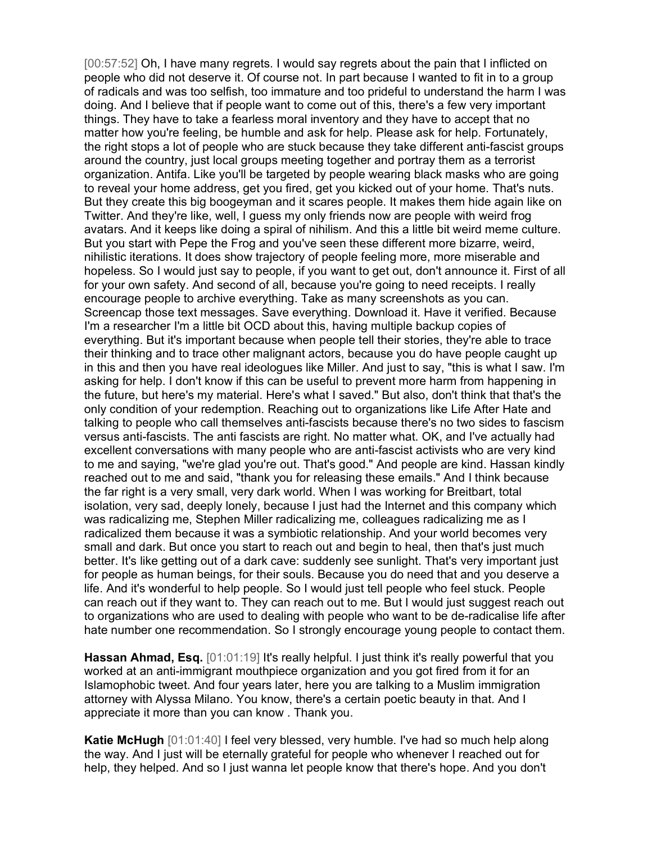[00:57:52] Oh, I have many regrets. I would say regrets about the pain that I inflicted on people who did not deserve it. Of course not. In part because I wanted to fit in to a group of radicals and was too selfish, too immature and too prideful to understand the harm I was doing. And I believe that if people want to come out of this, there's a few very important things. They have to take a fearless moral inventory and they have to accept that no matter how you're feeling, be humble and ask for help. Please ask for help. Fortunately, the right stops a lot of people who are stuck because they take different anti-fascist groups around the country, just local groups meeting together and portray them as a terrorist organization. Antifa. Like you'll be targeted by people wearing black masks who are going to reveal your home address, get you fired, get you kicked out of your home. That's nuts. But they create this big boogeyman and it scares people. It makes them hide again like on Twitter. And they're like, well, I guess my only friends now are people with weird frog avatars. And it keeps like doing a spiral of nihilism. And this a little bit weird meme culture. But you start with Pepe the Frog and you've seen these different more bizarre, weird, nihilistic iterations. It does show trajectory of people feeling more, more miserable and hopeless. So I would just say to people, if you want to get out, don't announce it. First of all for your own safety. And second of all, because you're going to need receipts. I really encourage people to archive everything. Take as many screenshots as you can. Screencap those text messages. Save everything. Download it. Have it verified. Because I'm a researcher I'm a little bit OCD about this, having multiple backup copies of everything. But it's important because when people tell their stories, they're able to trace their thinking and to trace other malignant actors, because you do have people caught up in this and then you have real ideologues like Miller. And just to say, "this is what I saw. I'm asking for help. I don't know if this can be useful to prevent more harm from happening in the future, but here's my material. Here's what I saved." But also, don't think that that's the only condition of your redemption. Reaching out to organizations like Life After Hate and talking to people who call themselves anti-fascists because there's no two sides to fascism versus anti-fascists. The anti fascists are right. No matter what. OK, and I've actually had excellent conversations with many people who are anti-fascist activists who are very kind to me and saying, "we're glad you're out. That's good." And people are kind. Hassan kindly reached out to me and said, "thank you for releasing these emails." And I think because the far right is a very small, very dark world. When I was working for Breitbart, total isolation, very sad, deeply lonely, because I just had the Internet and this company which was radicalizing me, Stephen Miller radicalizing me, colleagues radicalizing me as I radicalized them because it was a symbiotic relationship. And your world becomes very small and dark. But once you start to reach out and begin to heal, then that's just much better. It's like getting out of a dark cave: suddenly see sunlight. That's very important just for people as human beings, for their souls. Because you do need that and you deserve a life. And it's wonderful to help people. So I would just tell people who feel stuck. People can reach out if they want to. They can reach out to me. But I would just suggest reach out to organizations who are used to dealing with people who want to be de-radicalise life after hate number one recommendation. So I strongly encourage young people to contact them.

Hassan Ahmad, Esq. [01:01:19] It's really helpful. I just think it's really powerful that you worked at an anti-immigrant mouthpiece organization and you got fired from it for an Islamophobic tweet. And four years later, here you are talking to a Muslim immigration attorney with Alyssa Milano. You know, there's a certain poetic beauty in that. And I appreciate it more than you can know . Thank you.

Katie McHugh [01:01:40] I feel very blessed, very humble. I've had so much help along the way. And I just will be eternally grateful for people who whenever I reached out for help, they helped. And so I just wanna let people know that there's hope. And you don't